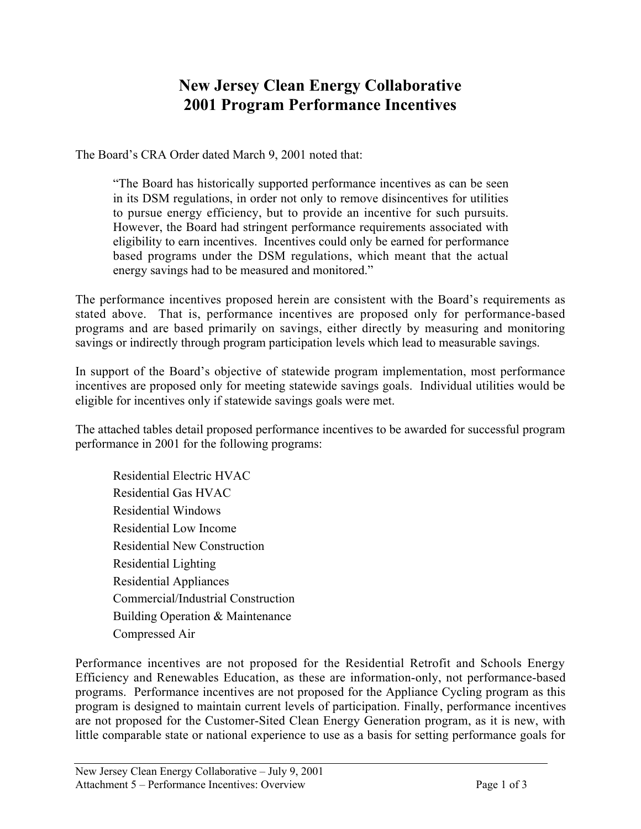## **New Jersey Clean Energy Collaborative 2001 Program Performance Incentives**

The Board's CRA Order dated March 9, 2001 noted that:

"The Board has historically supported performance incentives as can be seen in its DSM regulations, in order not only to remove disincentives for utilities to pursue energy efficiency, but to provide an incentive for such pursuits. However, the Board had stringent performance requirements associated with eligibility to earn incentives. Incentives could only be earned for performance based programs under the DSM regulations, which meant that the actual energy savings had to be measured and monitored."

The performance incentives proposed herein are consistent with the Board's requirements as stated above. That is, performance incentives are proposed only for performance-based programs and are based primarily on savings, either directly by measuring and monitoring savings or indirectly through program participation levels which lead to measurable savings.

In support of the Board's objective of statewide program implementation, most performance incentives are proposed only for meeting statewide savings goals. Individual utilities would be eligible for incentives only if statewide savings goals were met.

The attached tables detail proposed performance incentives to be awarded for successful program performance in 2001 for the following programs:

Residential Electric HVAC Residential Gas HVAC Residential Windows Residential Low Income Residential New Construction Residential Lighting Residential Appliances Commercial/Industrial Construction Building Operation & Maintenance Compressed Air

Performance incentives are not proposed for the Residential Retrofit and Schools Energy Efficiency and Renewables Education, as these are information-only, not performance-based programs. Performance incentives are not proposed for the Appliance Cycling program as this program is designed to maintain current levels of participation. Finally, performance incentives are not proposed for the Customer-Sited Clean Energy Generation program, as it is new, with little comparable state or national experience to use as a basis for setting performance goals for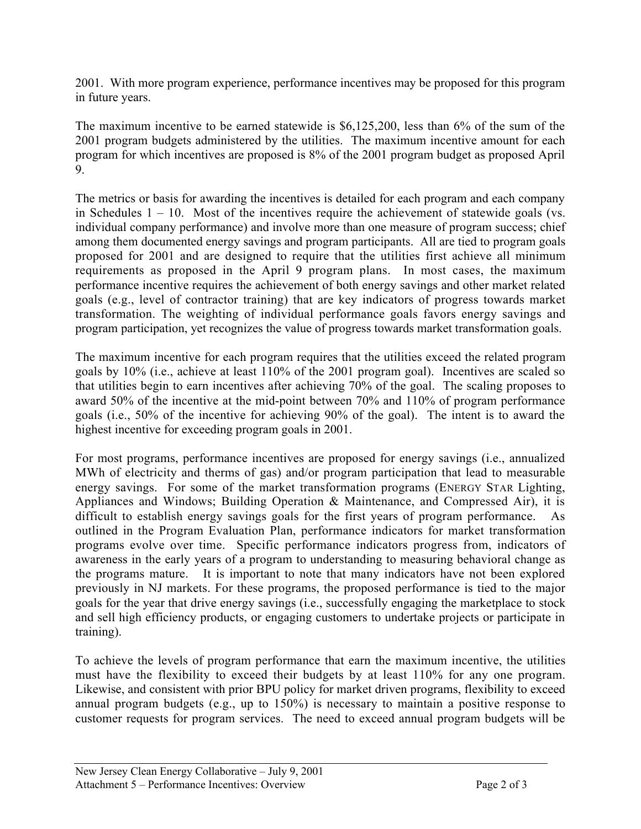2001. With more program experience, performance incentives may be proposed for this program in future years.

The maximum incentive to be earned statewide is \$6,125,200, less than 6% of the sum of the 2001 program budgets administered by the utilities. The maximum incentive amount for each program for which incentives are proposed is 8% of the 2001 program budget as proposed April 9.

The metrics or basis for awarding the incentives is detailed for each program and each company in Schedules  $1 - 10$ . Most of the incentives require the achievement of statewide goals (vs. individual company performance) and involve more than one measure of program success; chief among them documented energy savings and program participants. All are tied to program goals proposed for 2001 and are designed to require that the utilities first achieve all minimum requirements as proposed in the April 9 program plans. In most cases, the maximum performance incentive requires the achievement of both energy savings and other market related goals (e.g., level of contractor training) that are key indicators of progress towards market transformation. The weighting of individual performance goals favors energy savings and program participation, yet recognizes the value of progress towards market transformation goals.

The maximum incentive for each program requires that the utilities exceed the related program goals by 10% (i.e., achieve at least 110% of the 2001 program goal). Incentives are scaled so that utilities begin to earn incentives after achieving 70% of the goal. The scaling proposes to award 50% of the incentive at the mid-point between 70% and 110% of program performance goals (i.e., 50% of the incentive for achieving 90% of the goal). The intent is to award the highest incentive for exceeding program goals in 2001.

For most programs, performance incentives are proposed for energy savings (i.e., annualized MWh of electricity and therms of gas) and/or program participation that lead to measurable energy savings. For some of the market transformation programs (ENERGY STAR Lighting, Appliances and Windows; Building Operation & Maintenance, and Compressed Air), it is difficult to establish energy savings goals for the first years of program performance. As outlined in the Program Evaluation Plan, performance indicators for market transformation programs evolve over time. Specific performance indicators progress from, indicators of awareness in the early years of a program to understanding to measuring behavioral change as the programs mature. It is important to note that many indicators have not been explored previously in NJ markets. For these programs, the proposed performance is tied to the major goals for the year that drive energy savings (i.e., successfully engaging the marketplace to stock and sell high efficiency products, or engaging customers to undertake projects or participate in training).

To achieve the levels of program performance that earn the maximum incentive, the utilities must have the flexibility to exceed their budgets by at least 110% for any one program. Likewise, and consistent with prior BPU policy for market driven programs, flexibility to exceed annual program budgets (e.g., up to 150%) is necessary to maintain a positive response to customer requests for program services. The need to exceed annual program budgets will be